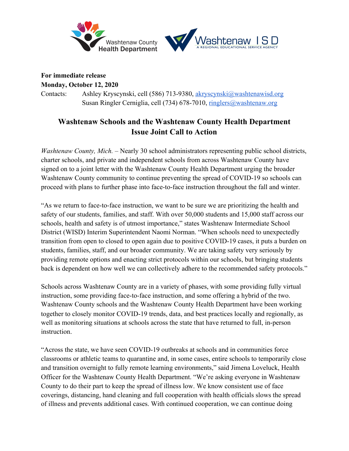



# **For immediate release**

**Monday, October 12, 2020**

Contacts: Ashley Kryscynski, cell (586) 713-9380, akryscynski@washtenawisd.org Susan Ringler Cerniglia, cell (734) 678-7010, ringlers@washtenaw.org

# **Washtenaw Schools and the Washtenaw County Health Department Issue Joint Call to Action**

*Washtenaw County, Mich. –* Nearly 30 school administrators representing public school districts, charter schools, and private and independent schools from across Washtenaw County have signed on to a joint letter with the Washtenaw County Health Department urging the broader Washtenaw County community to continue preventing the spread of COVID-19 so schools can proceed with plans to further phase into face-to-face instruction throughout the fall and winter.

"As we return to face-to-face instruction, we want to be sure we are prioritizing the health and safety of our students, families, and staff. With over 50,000 students and 15,000 staff across our schools, health and safety is of utmost importance," states Washtenaw Intermediate School District (WISD) Interim Superintendent Naomi Norman. "When schools need to unexpectedly transition from open to closed to open again due to positive COVID-19 cases, it puts a burden on students, families, staff, and our broader community. We are taking safety very seriously by providing remote options and enacting strict protocols within our schools, but bringing students back is dependent on how well we can collectively adhere to the recommended safety protocols."

Schools across Washtenaw County are in a variety of phases, with some providing fully virtual instruction, some providing face-to-face instruction, and some offering a hybrid of the two. Washtenaw County schools and the Washtenaw County Health Department have been working together to closely monitor COVID-19 trends, data, and best practices locally and regionally, as well as monitoring situations at schools across the state that have returned to full, in-person instruction.

"Across the state, we have seen COVID-19 outbreaks at schools and in communities force classrooms or athletic teams to quarantine and, in some cases, entire schools to temporarily close and transition overnight to fully remote learning environments," said Jimena Loveluck, Health Officer for the Washtenaw County Health Department. "We're asking everyone in Washtenaw County to do their part to keep the spread of illness low. We know consistent use of face coverings, distancing, hand cleaning and full cooperation with health officials slows the spread of illness and prevents additional cases. With continued cooperation, we can continue doing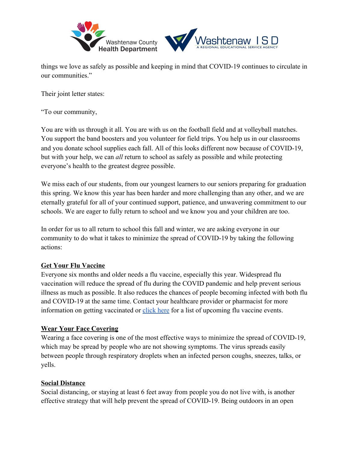

things we love as safely as possible and keeping in mind that COVID-19 continues to circulate in our communities."

Their joint letter states:

"To our community,

You are with us through it all. You are with us on the football field and at volleyball matches. You support the band boosters and you volunteer for field trips. You help us in our classrooms and you donate school supplies each fall. All of this looks different now because of COVID-19, but with your help, we can *all* return to school as safely as possible and while protecting everyone's health to the greatest degree possible.

We miss each of our students, from our youngest learners to our seniors preparing for graduation this spring. We know this year has been harder and more challenging than any other, and we are eternally grateful for all of your continued support, patience, and unwavering commitment to our schools. We are eager to fully return to school and we know you and your children are too.

In order for us to all return to school this fall and winter, we are asking everyone in our community to do what it takes to minimize the spread of COVID-19 by taking the following actions:

## **Get Your Flu Vaccine**

Everyone six months and older needs a flu vaccine, especially this year. Widespread flu vaccination will reduce the spread of flu during the COVID pandemic and help prevent serious illness as much as possible. It also reduces the chances of people becoming infected with both flu and COVID-19 at the same time. Contact your healthcare provider or pharmacist for more information on getting vaccinated or click here for a list of upcoming flu vaccine events.

#### **Wear Your Face Covering**

Wearing a face covering is one of the most effective ways to minimize the spread of COVID-19, which may be spread by people who are not showing symptoms. The virus spreads easily between people through respiratory droplets when an infected person coughs, sneezes, talks, or yells.

#### **Social Distance**

Social distancing, or staying at least 6 feet away from people you do not live with, is another effective strategy that will help prevent the spread of COVID-19. Being outdoors in an open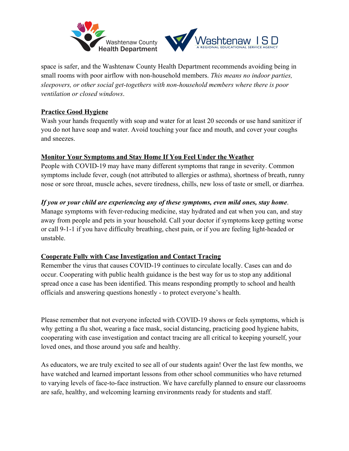

space is safer, and the Washtenaw County Health Department recommends avoiding being in small rooms with poor airflow with non-household members. *This means no indoor parties, sleepovers, or other social get-togethers with non-household members where there is poor ventilation or closed windows*.

# **Practice Good Hygiene**

Wash your hands frequently with soap and water for at least 20 seconds or use hand sanitizer if you do not have soap and water. Avoid touching your face and mouth, and cover your coughs and sneezes.

## **Monitor Your Symptoms and Stay Home If You Feel Under the Weather**

People with COVID-19 may have many different symptoms that range in severity. Common symptoms include fever, cough (not attributed to allergies or asthma), shortness of breath, runny nose or sore throat, muscle aches, severe tiredness, chills, new loss of taste or smell, or diarrhea.

# *If you or your child are experiencing any of these symptoms, even mild ones, stay home*.

Manage symptoms with fever-reducing medicine, stay hydrated and eat when you can, and stay away from people and pets in your household. Call your doctor if symptoms keep getting worse or call 9-1-1 if you have difficulty breathing, chest pain, or if you are feeling light-headed or unstable.

## **Cooperate Fully with Case Investigation and Contact Tracing**

Remember the virus that causes COVID-19 continues to circulate locally. Cases can and do occur. Cooperating with public health guidance is the best way for us to stop any additional spread once a case has been identified. This means responding promptly to school and health officials and answering questions honestly - to protect everyone's health.

Please remember that not everyone infected with COVID-19 shows or feels symptoms, which is why getting a flu shot, wearing a face mask, social distancing, practicing good hygiene habits, cooperating with case investigation and contact tracing are all critical to keeping yourself, your loved ones, and those around you safe and healthy.

As educators, we are truly excited to see all of our students again! Over the last few months, we have watched and learned important lessons from other school communities who have returned to varying levels of face-to-face instruction. We have carefully planned to ensure our classrooms are safe, healthy, and welcoming learning environments ready for students and staff.